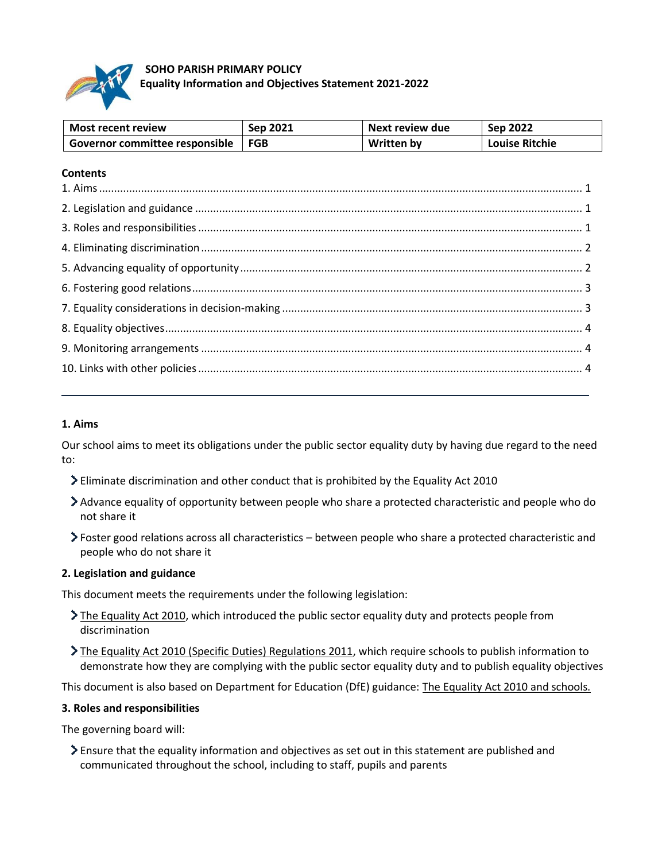

# **SOHO PARISH PRIMARY POLICY Equality Information and Objectives Statement 2021-2022**

| <b>Most recent review</b>      | Sep 2021 | Next review due | Sep 2022              |
|--------------------------------|----------|-----------------|-----------------------|
| Governor committee responsible | FGB      | Written by      | <b>Louise Ritchie</b> |

# **Contents**

## <span id="page-0-0"></span>**1. Aims**

Our school aims to meet its obligations under the public sector equality duty by having due regard to the need to:

- Eliminate discrimination and other conduct that is prohibited by the Equality Act 2010
- Advance equality of opportunity between people who share a protected characteristic and people who do not share it
- Foster good relations across all characteristics between people who share a protected characteristic and people who do not share it

#### <span id="page-0-1"></span>**2. Legislation and guidance**

This document meets the requirements under the following legislation:

- [The Equality Act 2010,](http://www.legislation.gov.uk/ukpga/2010/15/contents) which introduced the public sector equality duty and protects people from discrimination
- [The Equality Act 2010 \(Specific Duties\) Regulations 2011,](http://www.legislation.gov.uk/uksi/2011/2260/contents/made) which require schools to publish information to demonstrate how they are complying with the public sector equality duty and to publish equality objectives

This document is also based on Department for Education (DfE) guidance: [The Equality Act 2010 and schools.](https://www.gov.uk/government/publications/equality-act-2010-advice-for-schools) 

#### <span id="page-0-2"></span>**3. Roles and responsibilities**

The governing board will:

Ensure that the equality information and objectives as set out in this statement are published and communicated throughout the school, including to staff, pupils and parents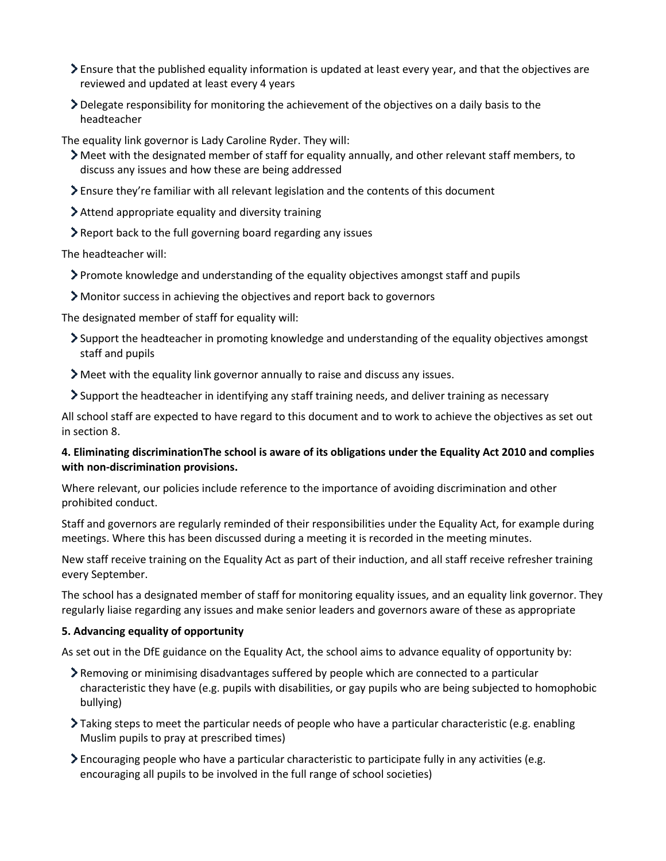- $\geq$  Ensure that the published equality information is updated at least every year, and that the objectives are reviewed and updated at least every 4 years
- Delegate responsibility for monitoring the achievement of the objectives on a daily basis to the headteacher

The equality link governor is Lady Caroline Ryder. They will:

- Meet with the designated member of staff for equality annually, and other relevant staff members, to discuss any issues and how these are being addressed
- Ensure they're familiar with all relevant legislation and the contents of this document
- Attend appropriate equality and diversity training
- Report back to the full governing board regarding any issues

The headteacher will:

- Promote knowledge and understanding of the equality objectives amongst staff and pupils
- Monitor success in achieving the objectives and report back to governors

The designated member of staff for equality will:

- Support the headteacher in promoting knowledge and understanding of the equality objectives amongst staff and pupils
- Meet with the equality link governor annually to raise and discuss any issues.
- Support the headteacher in identifying any staff training needs, and deliver training as necessary

All school staff are expected to have regard to this document and to work to achieve the objectives as set out in section 8.

# <span id="page-1-0"></span>**4. Eliminating discriminationThe school is aware of its obligations under the Equality Act 2010 and complies with non-discrimination provisions.**

Where relevant, our policies include reference to the importance of avoiding discrimination and other prohibited conduct.

Staff and governors are regularly reminded of their responsibilities under the Equality Act, for example during meetings. Where this has been discussed during a meeting it is recorded in the meeting minutes.

New staff receive training on the Equality Act as part of their induction, and all staff receive refresher training every September.

The school has a designated member of staff for monitoring equality issues, and an equality link governor. They regularly liaise regarding any issues and make senior leaders and governors aware of these as appropriate

## <span id="page-1-1"></span>**5. Advancing equality of opportunity**

As set out in the DfE guidance on the Equality Act, the school aims to advance equality of opportunity by:

- Removing or minimising disadvantages suffered by people which are connected to a particular characteristic they have (e.g. pupils with disabilities, or gay pupils who are being subjected to homophobic bullying)
- Taking steps to meet the particular needs of people who have a particular characteristic (e.g. enabling Muslim pupils to pray at prescribed times)
- Encouraging people who have a particular characteristic to participate fully in any activities (e.g. encouraging all pupils to be involved in the full range of school societies)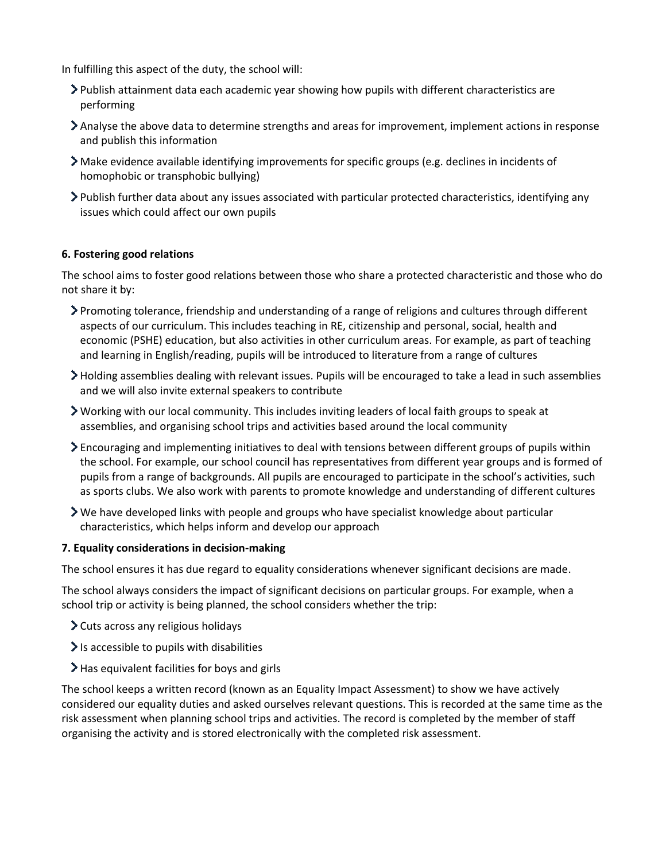In fulfilling this aspect of the duty, the school will:

- Publish attainment data each academic year showing how pupils with different characteristics are performing
- Analyse the above data to determine strengths and areas for improvement, implement actions in response and publish this information
- Make evidence available identifying improvements for specific groups (e.g. declines in incidents of homophobic or transphobic bullying)
- Publish further data about any issues associated with particular protected characteristics, identifying any issues which could affect our own pupils

### <span id="page-2-0"></span>**6. Fostering good relations**

The school aims to foster good relations between those who share a protected characteristic and those who do not share it by:

- Promoting tolerance, friendship and understanding of a range of religions and cultures through different aspects of our curriculum. This includes teaching in RE, citizenship and personal, social, health and economic (PSHE) education, but also activities in other curriculum areas. For example, as part of teaching and learning in English/reading, pupils will be introduced to literature from a range of cultures
- Holding assemblies dealing with relevant issues. Pupils will be encouraged to take a lead in such assemblies and we will also invite external speakers to contribute
- Working with our local community. This includes inviting leaders of local faith groups to speak at assemblies, and organising school trips and activities based around the local community
- Encouraging and implementing initiatives to deal with tensions between different groups of pupils within the school. For example, our school council has representatives from different year groups and is formed of pupils from a range of backgrounds. All pupils are encouraged to participate in the school's activities, such as sports clubs. We also work with parents to promote knowledge and understanding of different cultures
- We have developed links with people and groups who have specialist knowledge about particular characteristics, which helps inform and develop our approach

#### <span id="page-2-1"></span>**7. Equality considerations in decision-making**

The school ensures it has due regard to equality considerations whenever significant decisions are made.

The school always considers the impact of significant decisions on particular groups. For example, when a school trip or activity is being planned, the school considers whether the trip:

- Cuts across any religious holidays
- $\ge$  Is accessible to pupils with disabilities
- $\blacktriangleright$  Has equivalent facilities for boys and girls

<span id="page-2-2"></span>The school keeps a written record (known as an Equality Impact Assessment) to show we have actively considered our equality duties and asked ourselves relevant questions. This is recorded at the same time as the risk assessment when planning school trips and activities. The record is completed by the member of staff organising the activity and is stored electronically with the completed risk assessment.